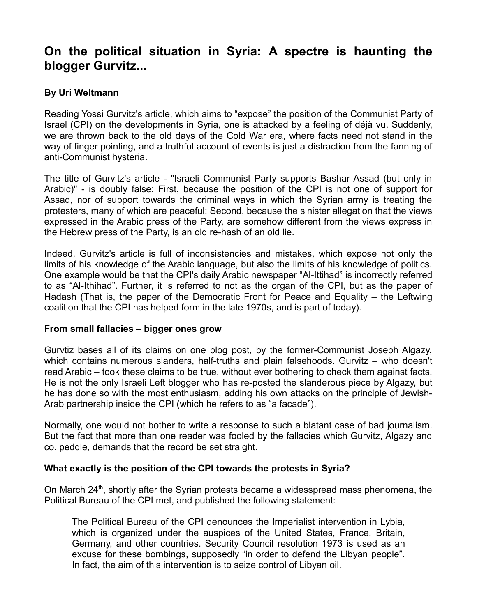# **On the political situation in Syria: A spectre is haunting the blogger Gurvitz...**

## **By Uri Weltmann**

Reading Yossi Gurvitz's article, which aims to "expose" the position of the Communist Party of Israel (CPI) on the developments in Syria, one is attacked by a feeling of déjà vu. Suddenly, we are thrown back to the old days of the Cold War era, where facts need not stand in the way of finger pointing, and a truthful account of events is just a distraction from the fanning of anti-Communist hysteria.

The title of Gurvitz's article - "Israeli Communist Party supports Bashar Assad (but only in Arabic)" - is doubly false: First, because the position of the CPI is not one of support for Assad, nor of support towards the criminal ways in which the Syrian army is treating the protesters, many of which are peaceful; Second, because the sinister allegation that the views expressed in the Arabic press of the Party, are somehow different from the views express in the Hebrew press of the Party, is an old re-hash of an old lie.

Indeed, Gurvitz's article is full of inconsistencies and mistakes, which expose not only the limits of his knowledge of the Arabic language, but also the limits of his knowledge of politics. One example would be that the CPI's daily Arabic newspaper "Al-Ittihad" is incorrectly referred to as "Al-Ithihad". Further, it is referred to not as the organ of the CPI, but as the paper of Hadash (That is, the paper of the Democratic Front for Peace and Equality – the Leftwing coalition that the CPI has helped form in the late 1970s, and is part of today).

### **From small fallacies – bigger ones grow**

Gurvtiz bases all of its claims on one blog post, by the former-Communist Joseph Algazy, which contains numerous slanders, half-truths and plain falsehoods. Gurvitz – who doesn't read Arabic – took these claims to be true, without ever bothering to check them against facts. He is not the only Israeli Left blogger who has re-posted the slanderous piece by Algazy, but he has done so with the most enthusiasm, adding his own attacks on the principle of Jewish-Arab partnership inside the CPI (which he refers to as "a facade").

Normally, one would not bother to write a response to such a blatant case of bad journalism. But the fact that more than one reader was fooled by the fallacies which Gurvitz, Algazy and co. peddle, demands that the record be set straight.

### **What exactly is the position of the CPI towards the protests in Syria?**

On March  $24<sup>th</sup>$ , shortly after the Syrian protests became a widesspread mass phenomena, the Political Bureau of the CPI met, and published the following statement:

The Political Bureau of the CPI denounces the Imperialist intervention in Lybia, which is organized under the auspices of the United States, France, Britain, Germany, and other countries. Security Council resolution 1973 is used as an excuse for these bombings, supposedly "in order to defend the Libyan people". In fact, the aim of this intervention is to seize control of Libyan oil.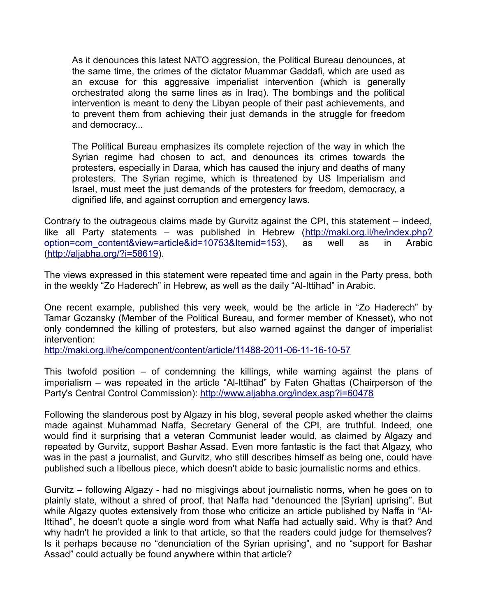As it denounces this latest NATO aggression, the Political Bureau denounces, at the same time, the crimes of the dictator Muammar Gaddafi, which are used as an excuse for this aggressive imperialist intervention (which is generally orchestrated along the same lines as in Iraq). The bombings and the political intervention is meant to deny the Libyan people of their past achievements, and to prevent them from achieving their just demands in the struggle for freedom and democracy...

The Political Bureau emphasizes its complete rejection of the way in which the Syrian regime had chosen to act, and denounces its crimes towards the protesters, especially in Daraa, which has caused the injury and deaths of many protesters. The Syrian regime, which is threatened by US Imperialism and Israel, must meet the just demands of the protesters for freedom, democracy, a dignified life, and against corruption and emergency laws.

Contrary to the outrageous claims made by Gurvitz against the CPI, this statement – indeed, like all Party statements – was published in Hebrew [\(http://maki.org.il/he/index.php?](http://maki.org.il/he/index.php?option=com_content&view=article&id=10753&Itemid=153) [option=com\\_content&view=article&id=10753&Itemid=153\)](http://maki.org.il/he/index.php?option=com_content&view=article&id=10753&Itemid=153), as well as in Arabic [\(http://aljabha.org/?i=58619\)](http://aljabha.org/?i=58619).

The views expressed in this statement were repeated time and again in the Party press, both in the weekly "Zo Haderech" in Hebrew, as well as the daily "Al-Ittihad" in Arabic.

One recent example, published this very week, would be the article in "Zo Haderech" by Tamar Gozansky (Member of the Political Bureau, and former member of Knesset), who not only condemned the killing of protesters, but also warned against the danger of imperialist intervention:

<http://maki.org.il/he/component/content/article/11488-2011-06-11-16-10-57>

This twofold position – of condemning the killings, while warning against the plans of imperialism – was repeated in the article "Al-Ittihad" by Faten Ghattas (Chairperson of the Party's Central Control Commission):<http://www.aljabha.org/index.asp?i=60478>

Following the slanderous post by Algazy in his blog, several people asked whether the claims made against Muhammad Naffa, Secretary General of the CPI, are truthful. Indeed, one would find it surprising that a veteran Communist leader would, as claimed by Algazy and repeated by Gurvitz, support Bashar Assad. Even more fantastic is the fact that Algazy, who was in the past a journalist, and Gurvitz, who still describes himself as being one, could have published such a libellous piece, which doesn't abide to basic journalistic norms and ethics.

Gurvitz – following Algazy - had no misgivings about journalistic norms, when he goes on to plainly state, without a shred of proof, that Naffa had "denounced the [Syrian] uprising". But while Algazy quotes extensively from those who criticize an article published by Naffa in "Al-Ittihad", he doesn't quote a single word from what Naffa had actually said. Why is that? And why hadn't he provided a link to that article, so that the readers could judge for themselves? Is it perhaps because no "denunciation of the Syrian uprising", and no "support for Bashar Assad" could actually be found anywhere within that article?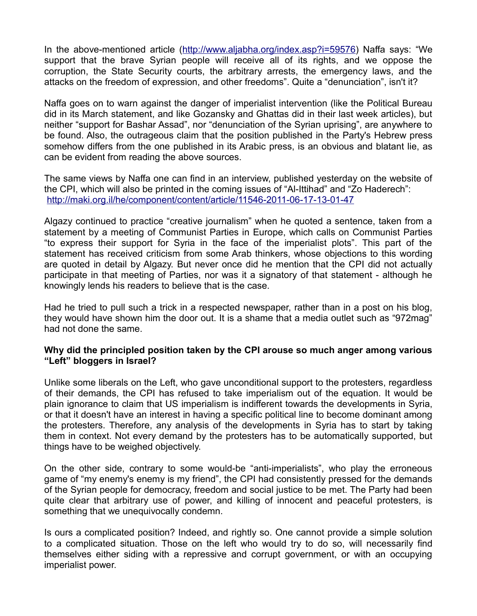In the above-mentioned article [\(http://www.aljabha.org/index.asp?i=59576\)](http://www.aljabha.org/index.asp?i=59576) Naffa says: "We support that the brave Syrian people will receive all of its rights, and we oppose the corruption, the State Security courts, the arbitrary arrests, the emergency laws, and the attacks on the freedom of expression, and other freedoms". Quite a "denunciation", isn't it?

Naffa goes on to warn against the danger of imperialist intervention (like the Political Bureau did in its March statement, and like Gozansky and Ghattas did in their last week articles), but neither "support for Bashar Assad", nor "denunciation of the Syrian uprising", are anywhere to be found. Also, the outrageous claim that the position published in the Party's Hebrew press somehow differs from the one published in its Arabic press, is an obvious and blatant lie, as can be evident from reading the above sources.

The same views by Naffa one can find in an interview, published yesterday on the website of the CPI, which will also be printed in the coming issues of "Al-Ittihad" and "Zo Haderech": <http://maki.org.il/he/component/content/article/11546-2011-06-17-13-01-47>

Algazy continued to practice "creative journalism" when he quoted a sentence, taken from a statement by a meeting of Communist Parties in Europe, which calls on Communist Parties "to express their support for Syria in the face of the imperialist plots". This part of the statement has received criticism from some Arab thinkers, whose objections to this wording are quoted in detail by Algazy. But never once did he mention that the CPI did not actually participate in that meeting of Parties, nor was it a signatory of that statement - although he knowingly lends his readers to believe that is the case.

Had he tried to pull such a trick in a respected newspaper, rather than in a post on his blog, they would have shown him the door out. It is a shame that a media outlet such as "972mag" had not done the same.

### **Why did the principled position taken by the CPI arouse so much anger among various "Left" bloggers in Israel?**

Unlike some liberals on the Left, who gave unconditional support to the protesters, regardless of their demands, the CPI has refused to take imperialism out of the equation. It would be plain ignorance to claim that US imperialism is indifferent towards the developments in Syria, or that it doesn't have an interest in having a specific political line to become dominant among the protesters. Therefore, any analysis of the developments in Syria has to start by taking them in context. Not every demand by the protesters has to be automatically supported, but things have to be weighed objectively.

On the other side, contrary to some would-be "anti-imperialists", who play the erroneous game of "my enemy's enemy is my friend", the CPI had consistently pressed for the demands of the Syrian people for democracy, freedom and social justice to be met. The Party had been quite clear that arbitrary use of power, and killing of innocent and peaceful protesters, is something that we unequivocally condemn.

Is ours a complicated position? Indeed, and rightly so. One cannot provide a simple solution to a complicated situation. Those on the left who would try to do so, will necessarily find themselves either siding with a repressive and corrupt government, or with an occupying imperialist power.